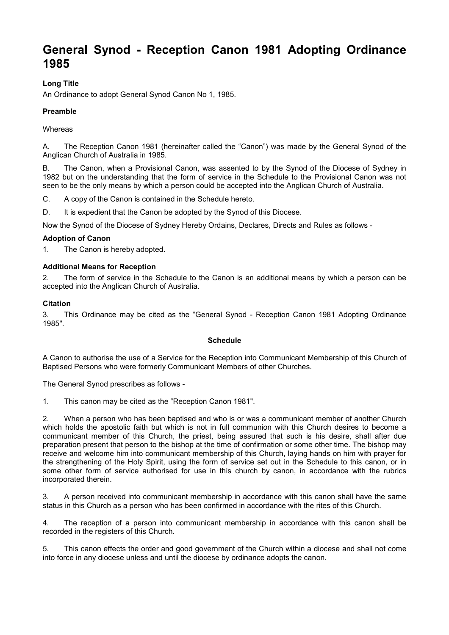# **General Synod - Reception Canon 1981 Adopting Ordinance 1985**

# **Long Title**

An Ordinance to adopt General Synod Canon No 1, 1985.

# **Preamble**

# **Whereas**

A. The Reception Canon 1981 (hereinafter called the "Canon") was made by the General Synod of the Anglican Church of Australia in 1985.

B. The Canon, when a Provisional Canon, was assented to by the Synod of the Diocese of Sydney in 1982 but on the understanding that the form of service in the Schedule to the Provisional Canon was not seen to be the only means by which a person could be accepted into the Anglican Church of Australia.

C. A copy of the Canon is contained in the Schedule hereto.

D. It is expedient that the Canon be adopted by the Synod of this Diocese.

Now the Synod of the Diocese of Sydney Hereby Ordains, Declares, Directs and Rules as follows -

# **Adoption of Canon**

1. The Canon is hereby adopted.

# **Additional Means for Reception**

2. The form of service in the Schedule to the Canon is an additional means by which a person can be accepted into the Anglican Church of Australia.

# **Citation**

3. This Ordinance may be cited as the "General Synod - Reception Canon 1981 Adopting Ordinance 1985".

#### **Schedule**

A Canon to authorise the use of a Service for the Reception into Communicant Membership of this Church of Baptised Persons who were formerly Communicant Members of other Churches.

The General Synod prescribes as follows -

1. This canon may be cited as the "Reception Canon 1981".

2. When a person who has been baptised and who is or was a communicant member of another Church which holds the apostolic faith but which is not in full communion with this Church desires to become a communicant member of this Church, the priest, being assured that such is his desire, shall after due preparation present that person to the bishop at the time of confirmation or some other time. The bishop may receive and welcome him into communicant membership of this Church, laying hands on him with prayer for the strengthening of the Holy Spirit, using the form of service set out in the Schedule to this canon, or in some other form of service authorised for use in this church by canon, in accordance with the rubrics incorporated therein.

3. A person received into communicant membership in accordance with this canon shall have the same status in this Church as a person who has been confirmed in accordance with the rites of this Church.

4. The reception of a person into communicant membership in accordance with this canon shall be recorded in the registers of this Church.

5. This canon effects the order and good government of the Church within a diocese and shall not come into force in any diocese unless and until the diocese by ordinance adopts the canon.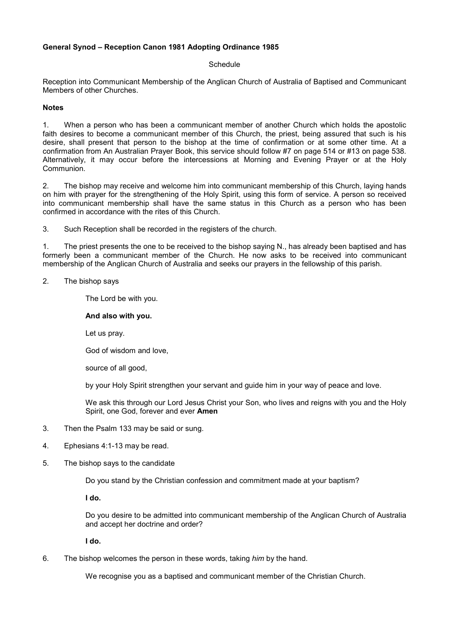# **General Synod – Reception Canon 1981 Adopting Ordinance 1985**

#### **Schedule**

Reception into Communicant Membership of the Anglican Church of Australia of Baptised and Communicant Members of other Churches.

# **Notes**

1. When a person who has been a communicant member of another Church which holds the apostolic faith desires to become a communicant member of this Church, the priest, being assured that such is his desire, shall present that person to the bishop at the time of confirmation or at some other time. At a confirmation from An Australian Prayer Book, this service should follow #7 on page 514 or #13 on page 538. Alternatively, it may occur before the intercessions at Morning and Evening Prayer or at the Holy Communion.

2. The bishop may receive and welcome him into communicant membership of this Church, laying hands on him with prayer for the strengthening of the Holy Spirit, using this form of service. A person so received into communicant membership shall have the same status in this Church as a person who has been confirmed in accordance with the rites of this Church.

3. Such Reception shall be recorded in the registers of the church.

1. The priest presents the one to be received to the bishop saying N., has already been baptised and has formerly been a communicant member of the Church. He now asks to be received into communicant membership of the Anglican Church of Australia and seeks our prayers in the fellowship of this parish.

# 2. The bishop says

The Lord be with you.

# **And also with you.**

Let us pray.

God of wisdom and love,

source of all good,

by your Holy Spirit strengthen your servant and guide him in your way of peace and love.

We ask this through our Lord Jesus Christ your Son, who lives and reigns with you and the Holy Spirit, one God, forever and ever **Amen**

- 3. Then the Psalm 133 may be said or sung.
- 4. Ephesians 4:1-13 may be read.
- 5. The bishop says to the candidate

Do you stand by the Christian confession and commitment made at your baptism?

**I do.** 

Do you desire to be admitted into communicant membership of the Anglican Church of Australia and accept her doctrine and order?

**I do.** 

6. The bishop welcomes the person in these words, taking *him* by the hand.

We recognise you as a baptised and communicant member of the Christian Church.